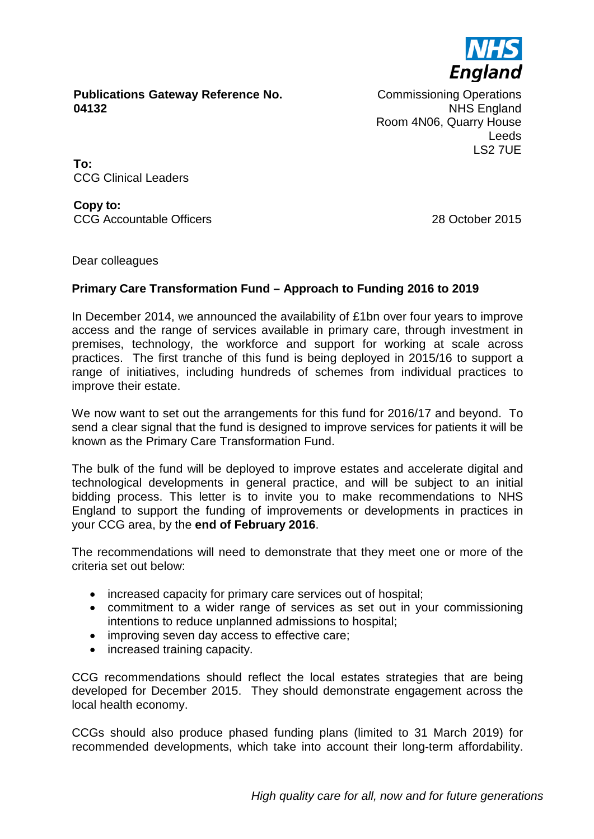

**Publications Gateway Reference No. 04132**

Commissioning Operations NHS England Room 4N06, Quarry House Leeds LS2 7UE

**To:** CCG Clinical Leaders

**Copy to:** CCG Accountable Officers 28 October 2015

Dear colleagues

# **Primary Care Transformation Fund – Approach to Funding 2016 to 2019**

In December 2014, we announced the availability of £1bn over four years to improve access and the range of services available in primary care, through investment in premises, technology, the workforce and support for working at scale across practices. The first tranche of this fund is being deployed in 2015/16 to support a range of initiatives, including hundreds of schemes from individual practices to improve their estate.

We now want to set out the arrangements for this fund for 2016/17 and beyond. To send a clear signal that the fund is designed to improve services for patients it will be known as the Primary Care Transformation Fund.

The bulk of the fund will be deployed to improve estates and accelerate digital and technological developments in general practice, and will be subject to an initial bidding process. This letter is to invite you to make recommendations to NHS England to support the funding of improvements or developments in practices in your CCG area, by the **end of February 2016**.

The recommendations will need to demonstrate that they meet one or more of the criteria set out below:

- increased capacity for primary care services out of hospital;
- commitment to a wider range of services as set out in your commissioning intentions to reduce unplanned admissions to hospital;
- improving seven day access to effective care;
- increased training capacity.

CCG recommendations should reflect the local estates strategies that are being developed for December 2015. They should demonstrate engagement across the local health economy.

CCGs should also produce phased funding plans (limited to 31 March 2019) for recommended developments, which take into account their long-term affordability.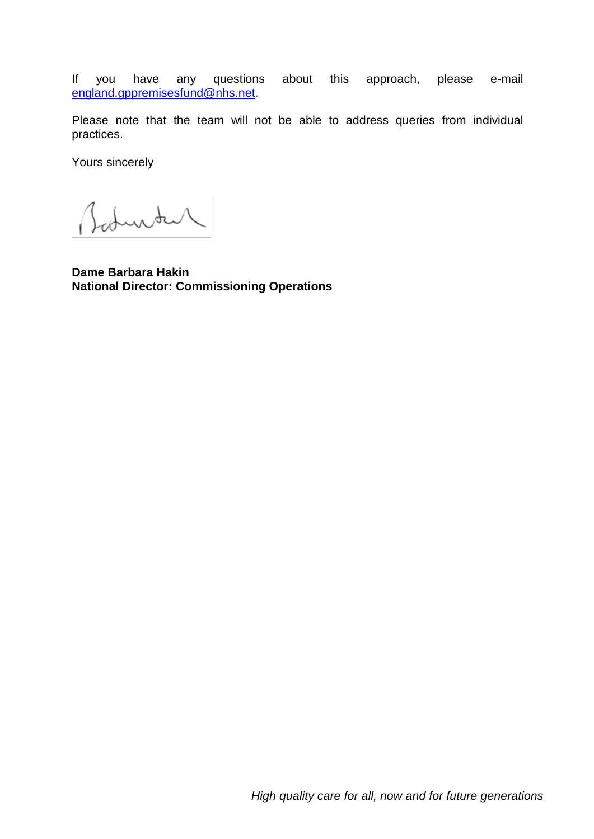If you have any questions about this approach, please e-mail [england.gppremisesfund@nhs.net.](mailto:england.gppremisesfund@nhs.net)

Please note that the team will not be able to address queries from individual practices.

Yours sincerely

Baturtur

**Dame Barbara Hakin National Director: Commissioning Operations**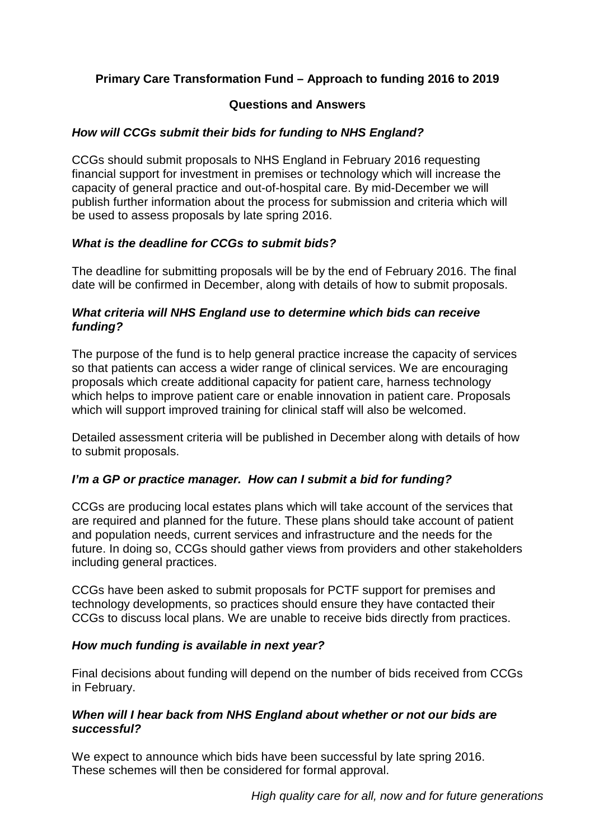# **Primary Care Transformation Fund – Approach to funding 2016 to 2019**

#### **Questions and Answers**

# *How will CCGs submit their bids for funding to NHS England?*

CCGs should submit proposals to NHS England in February 2016 requesting financial support for investment in premises or technology which will increase the capacity of general practice and out-of-hospital care. By mid-December we will publish further information about the process for submission and criteria which will be used to assess proposals by late spring 2016.

# *What is the deadline for CCGs to submit bids?*

The deadline for submitting proposals will be by the end of February 2016. The final date will be confirmed in December, along with details of how to submit proposals.

# *What criteria will NHS England use to determine which bids can receive funding?*

The purpose of the fund is to help general practice increase the capacity of services so that patients can access a wider range of clinical services. We are encouraging proposals which create additional capacity for patient care, harness technology which helps to improve patient care or enable innovation in patient care. Proposals which will support improved training for clinical staff will also be welcomed.

Detailed assessment criteria will be published in December along with details of how to submit proposals.

# *I'm a GP or practice manager. How can I submit a bid for funding?*

CCGs are producing local estates plans which will take account of the services that are required and planned for the future. These plans should take account of patient and population needs, current services and infrastructure and the needs for the future. In doing so, CCGs should gather views from providers and other stakeholders including general practices.

CCGs have been asked to submit proposals for PCTF support for premises and technology developments, so practices should ensure they have contacted their CCGs to discuss local plans. We are unable to receive bids directly from practices.

#### *How much funding is available in next year?*

Final decisions about funding will depend on the number of bids received from CCGs in February.

#### *When will I hear back from NHS England about whether or not our bids are successful?*

We expect to announce which bids have been successful by late spring 2016. These schemes will then be considered for formal approval.